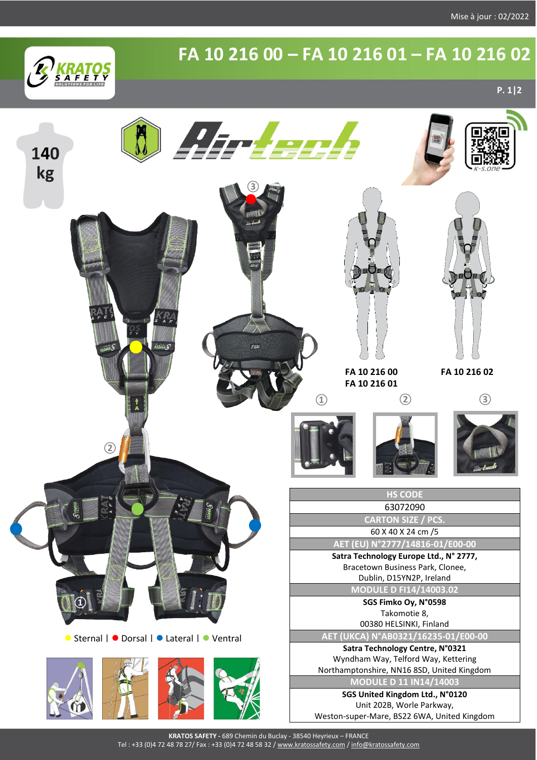

## **FA 10 216 00 – FA 10 216 01 – FA 10 216 02**

**P. 1|2**